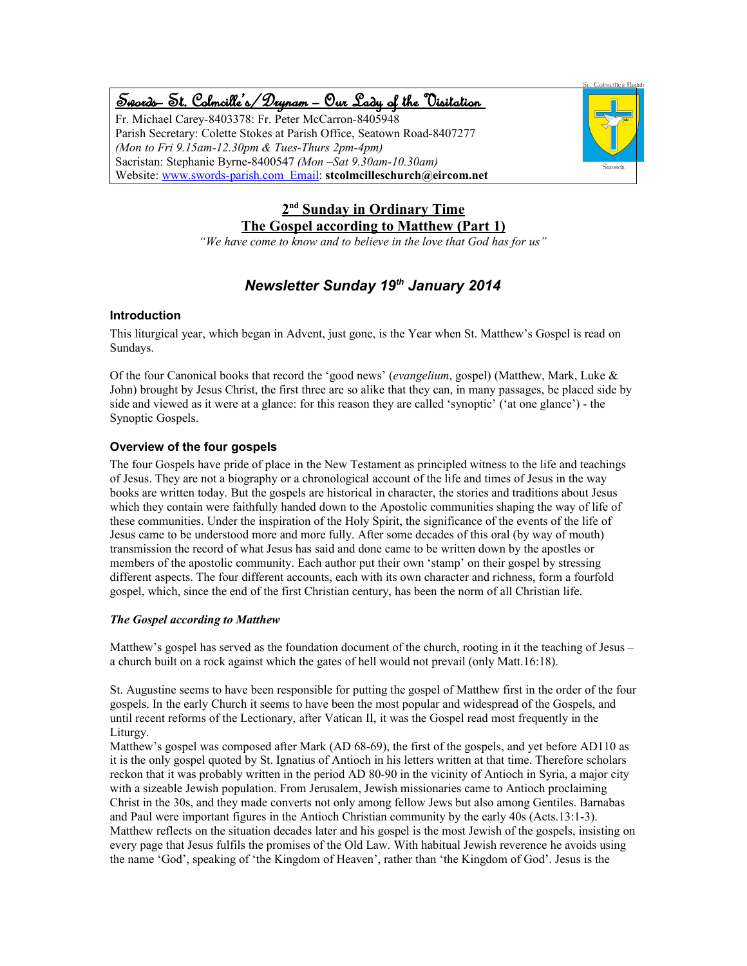# Swords – St. Colmcille's /Drynam – Our Lady of the Visitation

Fr. Michael Carey-8403378: Fr. Peter McCarron-8405948 Parish Secretary: Colette Stokes at Parish Office, Seatown Road-8407277 *(Mon to Fri 9.15am-12.30pm & Tues-Thurs 2pm-4pm)* Sacristan: Stephanie Byrne-8400547 *(Mon –Sat 9.30am-10.30am)* Website: www.swords-parish.com Email: **stcolmcilleschurch@eircom.net**



### **2 nd Sunday in Ordinary Time The Gospel according to Matthew (Part 1)**

*"We have come to know and to believe in the love that God has for us"*

### *Newsletter Sunday 19th January 2014*

#### **Introduction**

This liturgical year, which began in Advent, just gone, is the Year when St. Matthew's Gospel is read on Sundays.

Of the four Canonical books that record the 'good news' (*evangelium*, gospel) (Matthew, Mark, Luke & John) brought by Jesus Christ, the first three are so alike that they can, in many passages, be placed side by side and viewed as it were at a glance: for this reason they are called 'synoptic' ('at one glance') - the Synoptic Gospels.

### **Overview of the four gospels**

The four Gospels have pride of place in the New Testament as principled witness to the life and teachings of Jesus. They are not a biography or a chronological account of the life and times of Jesus in the way books are written today. But the gospels are historical in character, the stories and traditions about Jesus which they contain were faithfully handed down to the Apostolic communities shaping the way of life of these communities. Under the inspiration of the Holy Spirit, the significance of the events of the life of Jesus came to be understood more and more fully. After some decades of this oral (by way of mouth) transmission the record of what Jesus has said and done came to be written down by the apostles or members of the apostolic community. Each author put their own 'stamp' on their gospel by stressing different aspects. The four different accounts, each with its own character and richness, form a fourfold gospel, which, since the end of the first Christian century, has been the norm of all Christian life.

#### *The Gospel according to Matthew*

Matthew's gospel has served as the foundation document of the church, rooting in it the teaching of Jesus – a church built on a rock against which the gates of hell would not prevail (only Matt.16:18).

St. Augustine seems to have been responsible for putting the gospel of Matthew first in the order of the four gospels. In the early Church it seems to have been the most popular and widespread of the Gospels, and until recent reforms of the Lectionary, after Vatican II, it was the Gospel read most frequently in the Liturgy.

Matthew's gospel was composed after Mark (AD 68-69), the first of the gospels, and yet before AD110 as it is the only gospel quoted by St. Ignatius of Antioch in his letters written at that time. Therefore scholars reckon that it was probably written in the period AD 80-90 in the vicinity of Antioch in Syria, a major city with a sizeable Jewish population. From Jerusalem, Jewish missionaries came to Antioch proclaiming Christ in the 30s, and they made converts not only among fellow Jews but also among Gentiles. Barnabas and Paul were important figures in the Antioch Christian community by the early 40s (Acts.13:1-3). Matthew reflects on the situation decades later and his gospel is the most Jewish of the gospels, insisting on every page that Jesus fulfils the promises of the Old Law. With habitual Jewish reverence he avoids using the name 'God', speaking of 'the Kingdom of Heaven', rather than 'the Kingdom of God'. Jesus is the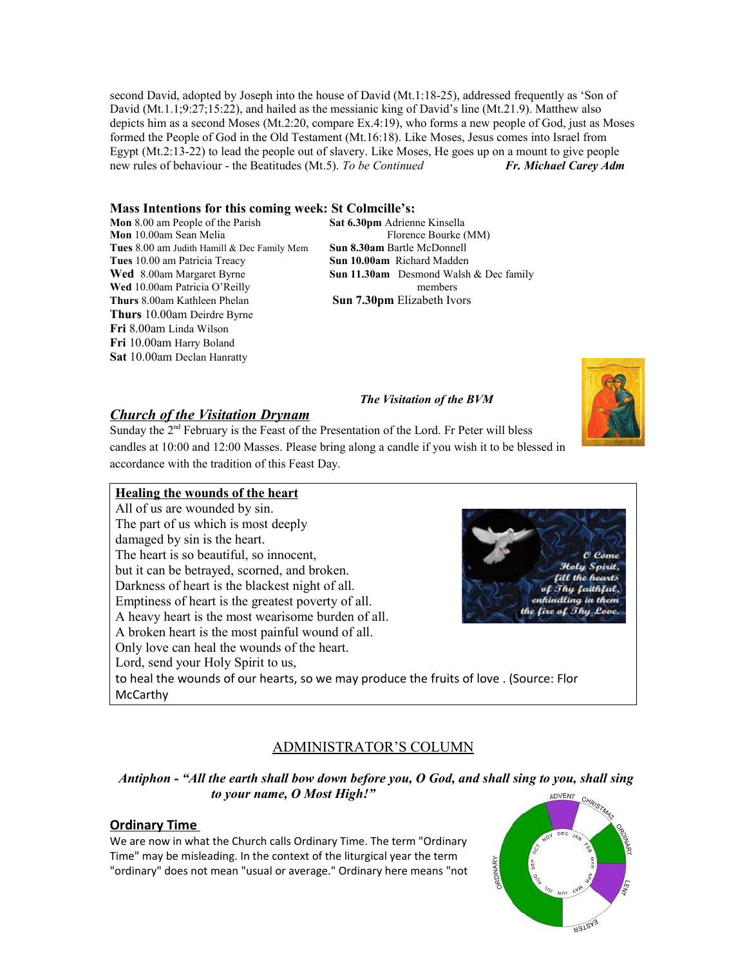second David, adopted by Joseph into the house of David (Mt.1:18-25), addressed frequently as 'Son of David (Mt.1.1;9:27;15:22), and hailed as the messianic king of David's line (Mt.21.9). Matthew also depicts him as a second Moses (Mt.2:20, compare Ex.4:19), who forms a new people of God, just as Moses formed the People of God in the Old Testament (Mt.16:18). Like Moses, Jesus comes into Israel from Egypt (Mt.2:13-22) to lead the people out of slavery. Like Moses, He goes up on a mount to give people new rules of behaviour - the Beatitudes (Mt.5). *To be Continued Fr. Michael Carey Adm*

#### **Mass Intentions for this coming week: St Colmcille's:**

**Mon** 8.00 am People of the Parish **Sat 6.30pm** Adrienne Kinsella **Mon** 10.00am Sean Melia Florence Bourke (MM) **Tues** 8.00 am Judith Hamill & Dec Family Mem **Sun 8.30am** Bartle McDonnell **Tues** 10.00 am Patricia Treacy **Sun 10.00am** Richard Madden **Wed** 10.00am Patricia O'Reilly members **Thurs** 8.00am Kathleen Phelan **Sun 7.30pm** Elizabeth Ivors **Thurs** 10.00am Deirdre Byrne **Fri** 8.00am Linda Wilson **Fri** 10.00am Harry Boland **Sat** 10.00am Declan Hanratty

**Wed** 8.00am Margaret Byrne **Sun 11.30am** Desmond Walsh & Dec family

#### *The Visitation of the BVM*



#### *Church of the Visitation Drynam*

Sunday the 2<sup>nd</sup> February is the Feast of the Presentation of the Lord. Fr Peter will bless candles at 10:00 and 12:00 Masses. Please bring along a candle if you wish it to be blessed in accordance with the tradition of this Feast Day.

#### **Healing the wounds of the heart**

All of us are wounded by sin. The part of us which is most deeply damaged by sin is the heart. The heart is so beautiful, so innocent, but it can be betrayed, scorned, and broken. Darkness of heart is the blackest night of all. Emptiness of heart is the greatest poverty of all. A heavy heart is the most wearisome burden of all. A broken heart is the most painful wound of all. Only love can heal the wounds of the heart. Lord, send your Holy Spirit to us, to heal the wounds of our hearts, so we may produce the fruits of love . (Source: Flor McCarthy



### ADMINISTRATOR'S COLUMN

#### *Antiphon - "All the earth shall bow down before you, O God, and shall sing to you, shall sing to your name, O Most High!"*  ADVENT

#### **Ordinary Time**

We are now in what the Church calls Ordinary Time. The term "Ordinary Time" may be misleading. In the context of the liturgical year the term "ordinary" does not mean "usual or average." Ordinary here means "not

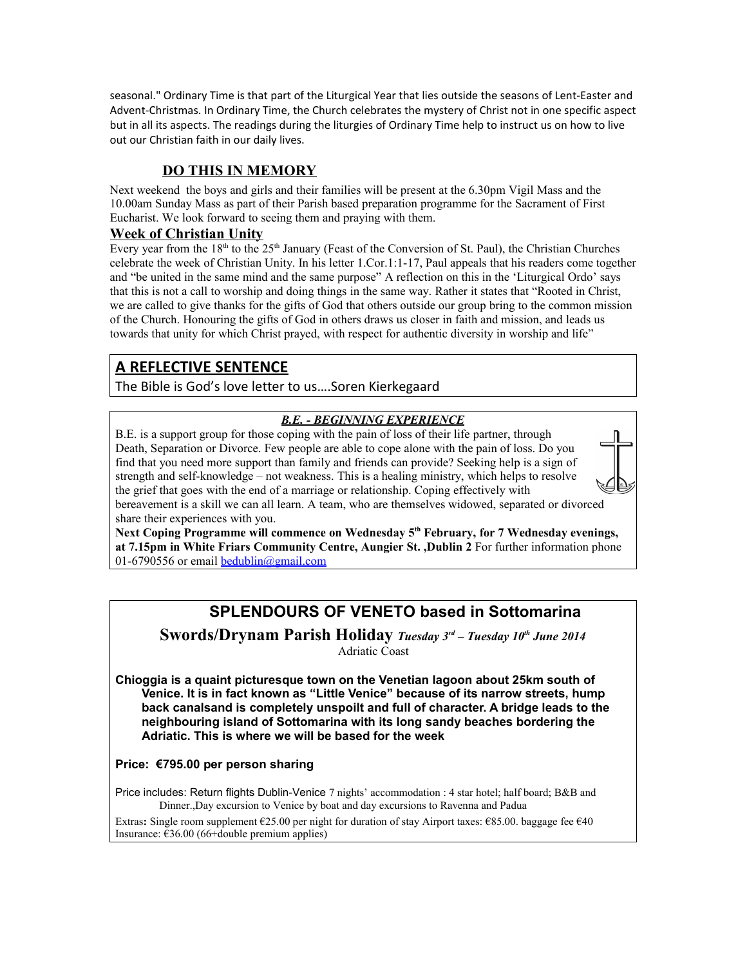seasonal." Ordinary Time is that part of the Liturgical Year that lies outside the seasons of Lent-Easter and Advent-Christmas. In Ordinary Time, the Church celebrates the mystery of Christ not in one specific aspect but in all its aspects. The readings during the liturgies of Ordinary Time help to instruct us on how to live out our Christian faith in our daily lives.

### **DO THIS IN MEMORY**

Next weekend the boys and girls and their families will be present at the 6.30pm Vigil Mass and the 10.00am Sunday Mass as part of their Parish based preparation programme for the Sacrament of First Eucharist. We look forward to seeing them and praying with them.

#### **Week of Christian Unity**

Every year from the  $18<sup>th</sup>$  to the  $25<sup>th</sup>$  January (Feast of the Conversion of St. Paul), the Christian Churches celebrate the week of Christian Unity. In his letter 1.Cor.1:1-17, Paul appeals that his readers come together and "be united in the same mind and the same purpose" A reflection on this in the 'Liturgical Ordo' says that this is not a call to worship and doing things in the same way. Rather it states that "Rooted in Christ, we are called to give thanks for the gifts of God that others outside our group bring to the common mission of the Church. Honouring the gifts of God in others draws us closer in faith and mission, and leads us towards that unity for which Christ prayed, with respect for authentic diversity in worship and life"

### **A REFLECTIVE SENTENCE**

The Bible is God's love letter to us….Soren Kierkegaard

### *B.E. - BEGINNING EXPERIENCE*

B.E. is a support group for those coping with the pain of loss of their life partner, through Death, Separation or Divorce. Few people are able to cope alone with the pain of loss. Do you find that you need more support than family and friends can provide? Seeking help is a sign of strength and self-knowledge – not weakness. This is a healing ministry, which helps to resolve the grief that goes with the end of a marriage or relationship. Coping effectively with bereavement is a skill we can all learn. A team, who are themselves widowed, separated or divorced share their experiences with you.

**Next Coping Programme will commence on Wednesday 5th February, for 7 Wednesday evenings, at 7.15pm in White Friars Community Centre, Aungier St. ,Dublin 2** For further information phone 01-6790556 or email [bedublin@gmail.com](mailto:bedublin@gmail.com)

## **SPLENDOURS OF VENETO based in Sottomarina**

#### **Swords/Drynam Parish Holiday** *Tuesday 3rd – Tuesday 10th June 2014* Adriatic Coast

**Chioggia is a quaint picturesque town on the Venetian lagoon about 25km south of Venice. It is in fact known as "Little Venice" because of its narrow streets, hump back canalsand is completely unspoilt and full of character. A bridge leads to the neighbouring island of Sottomarina with its long sandy beaches bordering the Adriatic. This is where we will be based for the week**

### **Price: €795.00 per person sharing**

Price includes: Return flights Dublin-Venice 7 nights' accommodation : 4 star hotel; half board; B&B and Dinner.,Day excursion to Venice by boat and day excursions to Ravenna and Padua

Extras**:** Single room supplement €25.00 per night for duration of stay Airport taxes: €85.00. baggage fee €40 Insurance: €36.00 (66+double premium applies)